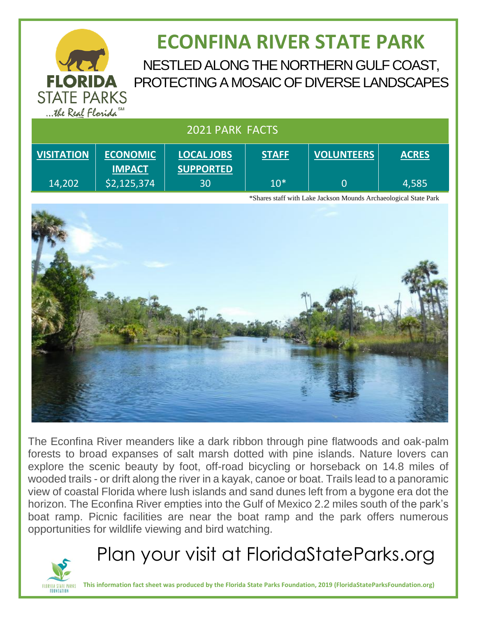

# **ECONFINA RIVER STATE PARK**

NESTLED ALONG THE NORTHERN GULF COAST, PROTECTING A MOSAIC OF DIVERSE LANDSCAPES

|  | 2021 PARK FACTS |
|--|-----------------|
|  |                 |

| <b>VISITATION</b> | <b>ECONOMIC</b><br><b>IMPACT</b> | <b>LOCAL JOBS</b><br><b>SUPPORTED</b> | <b>STAFF</b> | <b>VOLUNTEERS</b> | <b>ACRES</b> |
|-------------------|----------------------------------|---------------------------------------|--------------|-------------------|--------------|
| 14,202            | \$2,125,374                      | 30                                    | $10*$        |                   | 4,585        |

\*Shares staff with Lake Jackson Mounds Archaeological State Park



The Econfina River meanders like a dark ribbon through pine flatwoods and oak-palm forests to broad expanses of salt marsh dotted with pine islands. Nature lovers can explore the scenic beauty by foot, off-road bicycling or horseback on 14.8 miles of wooded trails - or drift along the river in a kayak, canoe or boat. Trails lead to a panoramic view of coastal Florida where lush islands and sand dunes left from a bygone era dot the horizon. The Econfina River empties into the Gulf of Mexico 2.2 miles south of the park's boat ramp. Picnic facilities are near the boat ramp and the park offers numerous opportunities for wildlife viewing and bird watching.



Plan your visit at FloridaStateParks.org

**This information fact sheet was produced by the Florida State Parks Foundation, 2019 (FloridaStateParksFoundation.org)**